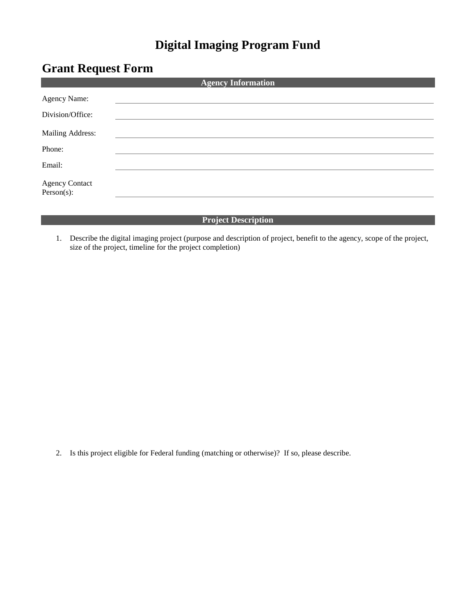## **Digital Imaging Program Fund**

## **Grant Request Form**

| <b>Agency Information</b>              |  |  |  |
|----------------------------------------|--|--|--|
| Agency Name:                           |  |  |  |
| Division/Office:                       |  |  |  |
| Mailing Address:                       |  |  |  |
| Phone:                                 |  |  |  |
| Email:                                 |  |  |  |
| <b>Agency Contact</b><br>$Person(s)$ : |  |  |  |
|                                        |  |  |  |

## **Project Description**

1. Describe the digital imaging project (purpose and description of project, benefit to the agency, scope of the project, size of the project, timeline for the project completion)

2. Is this project eligible for Federal funding (matching or otherwise)? If so, please describe.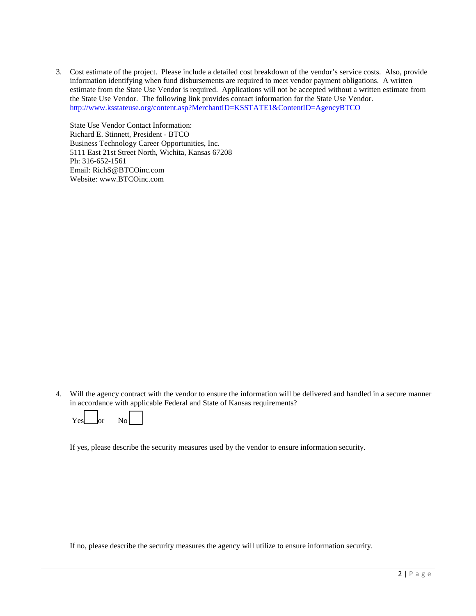3. Cost estimate of the project. Please include a detailed cost breakdown of the vendor's service costs. Also, provide information identifying when fund disbursements are required to meet vendor payment obligations. A written estimate from the State Use Vendor is required. Applications will not be accepted without a written estimate from the State Use Vendor. The following link provides contact information for the State Use Vendor. <http://www.ksstateuse.org/content.asp?MerchantID=KSSTATE1&ContentID=AgencyBTCO>

State Use Vendor Contact Information: Richard E. Stinnett, President - BTCO Business Technology Career Opportunities, Inc. 5111 East 21st Street North, Wichita, Kansas 67208 Ph: 316-652-1561 Email: RichS@BTCOinc.com Website: www.BTCOinc.com

4. Will the agency contract with the vendor to ensure the information will be delivered and handled in a secure manner in accordance with applicable Federal and State of Kansas requirements?

| Y ACI | or | No |  |
|-------|----|----|--|
|-------|----|----|--|

If yes, please describe the security measures used by the vendor to ensure information security.

If no, please describe the security measures the agency will utilize to ensure information security.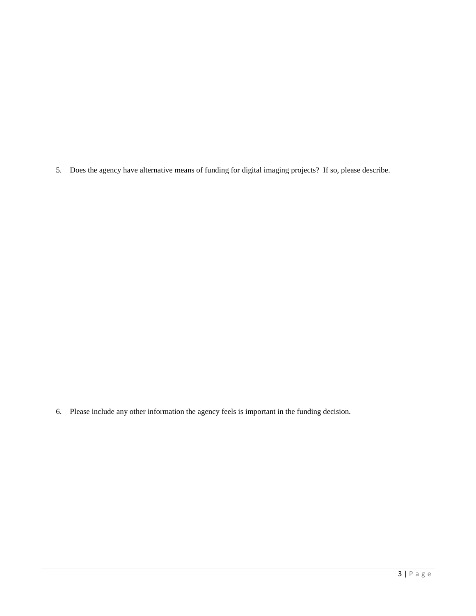5. Does the agency have alternative means of funding for digital imaging projects? If so, please describe.

6. Please include any other information the agency feels is important in the funding decision.